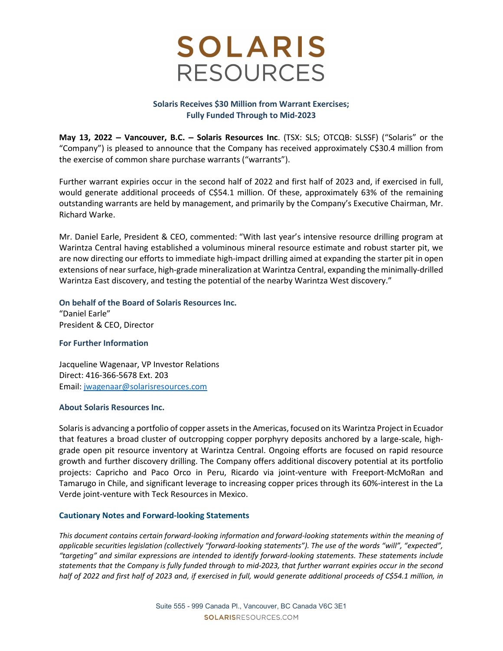

## Solaris Receives \$30 Million from Warrant Exercises; Fully Funded Through to Mid-2023

May 13, 2022 – Vancouver, B.C. – Solaris Resources Inc. (TSX: SLS; OTCQB: SLSSF) ("Solaris" or the "Company") is pleased to announce that the Company has received approximately C\$30.4 million from the exercise of common share purchase warrants ("warrants").

Further warrant expiries occur in the second half of 2022 and first half of 2023 and, if exercised in full, would generate additional proceeds of C\$54.1 million. Of these, approximately 63% of the remaining outstanding warrants are held by management, and primarily by the Company's Executive Chairman, Mr. Richard Warke.

Mr. Daniel Earle, President & CEO, commented: "With last year's intensive resource drilling program at Warintza Central having established a voluminous mineral resource estimate and robust starter pit, we are now directing our efforts to immediate high-impact drilling aimed at expanding the starter pit in open extensions of near surface, high-grade mineralization at Warintza Central, expanding the minimally-drilled Warintza East discovery, and testing the potential of the nearby Warintza West discovery."

On behalf of the Board of Solaris Resources Inc. "Daniel Earle" President & CEO, Director

### For Further Information

Jacqueline Wagenaar, VP Investor Relations Direct: 416-366-5678 Ext. 203 Email: jwagenaar@solarisresources.com

#### About Solaris Resources Inc.

Solaris is advancing a portfolio of copper assets in the Americas, focused on its Warintza Project in Ecuador that features a broad cluster of outcropping copper porphyry deposits anchored by a large-scale, highgrade open pit resource inventory at Warintza Central. Ongoing efforts are focused on rapid resource growth and further discovery drilling. The Company offers additional discovery potential at its portfolio projects: Capricho and Paco Orco in Peru, Ricardo via joint-venture with Freeport-McMoRan and Tamarugo in Chile, and significant leverage to increasing copper prices through its 60%-interest in the La Verde joint-venture with Teck Resources in Mexico.

#### Cautionary Notes and Forward-looking Statements

This document contains certain forward-looking information and forward-looking statements within the meaning of applicable securities legislation (collectively "forward-looking statements"). The use of the words "will", "expected", "targeting" and similar expressions are intended to identify forward-looking statements. These statements include statements that the Company is fully funded through to mid-2023, that further warrant expiries occur in the second half of 2022 and first half of 2023 and, if exercised in full, would generate additional proceeds of C\$54.1 million, in